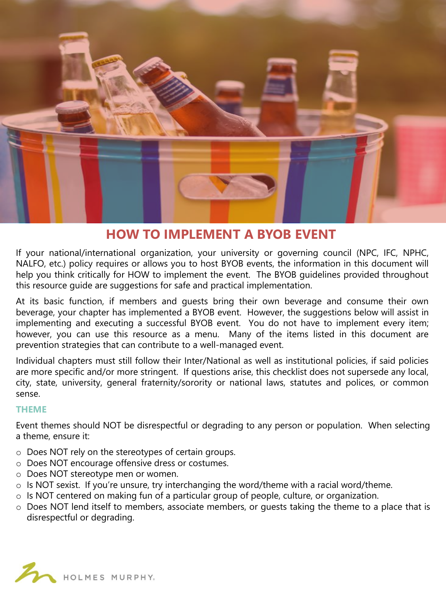

# **HOW TO IMPLEMENT A BYOB EVENT**

If your national/international organization, your university or governing council (NPC, IFC, NPHC, NALFO, etc.) policy requires or allows you to host BYOB events, the information in this document will help you think critically for HOW to implement the event. The BYOB guidelines provided throughout this resource guide are suggestions for safe and practical implementation.

At its basic function, if members and guests bring their own beverage and consume their own beverage, your chapter has implemented a BYOB event. However, the suggestions below will assist in implementing and executing a successful BYOB event. You do not have to implement every item; however, you can use this resource as a menu. Many of the items listed in this document are prevention strategies that can contribute to a well-managed event.

Individual chapters must still follow their Inter/National as well as institutional policies, if said policies are more specific and/or more stringent. If questions arise, this checklist does not supersede any local, city, state, university, general fraternity/sorority or national laws, statutes and polices, or common sense.

#### **THEME**

Event themes should NOT be disrespectful or degrading to any person or population. When selecting a theme, ensure it:

- o Does NOT rely on the stereotypes of certain groups.
- o Does NOT encourage offensive dress or costumes.
- o Does NOT stereotype men or women.
- $\circ$  Is NOT sexist. If you're unsure, try interchanging the word/theme with a racial word/theme.
- o Is NOT centered on making fun of a particular group of people, culture, or organization.
- o Does NOT lend itself to members, associate members, or guests taking the theme to a place that is disrespectful or degrading.

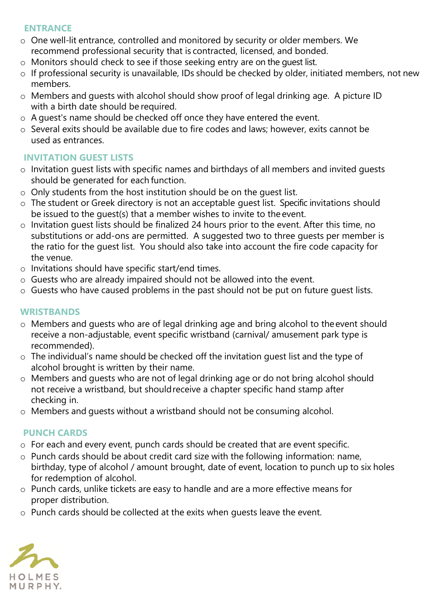#### **ENTRANCE**

- o One well-lit entrance, controlled and monitored by security or older members. We recommend professional security that is contracted, licensed, and bonded.
- o Monitors should check to see if those seeking entry are on the guest list.
- $\circ$  If professional security is unavailable, IDs should be checked by older, initiated members, not new members.
- o Members and guests with alcohol should show proof of legal drinking age. A picture ID with a birth date should be required.
- o A guest's name should be checked off once they have entered the event.
- o Several exits should be available due to fire codes and laws; however, exits cannot be used as entrances.

## **INVITATION GUEST LISTS**

- o Invitation guest lists with specific names and birthdays of all members and invited guests should be generated for each function.
- o Only students from the host institution should be on the guest list.
- o The student or Greek directory is not an acceptable guest list. Specific invitations should be issued to the guest(s) that a member wishes to invite to the event.
- $\circ$  Invitation quest lists should be finalized 24 hours prior to the event. After this time, no substitutions or add-ons are permitted. A suggested two to three guests per member is the ratio for the guest list. You should also take into account the fire code capacity for the venue.
- o Invitations should have specific start/end times.
- o Guests who are already impaired should not be allowed into the event.
- $\circ$  Guests who have caused problems in the past should not be put on future quest lists.

#### **WRISTBANDS**

- o Members and guests who are of legal drinking age and bring alcohol to theevent should receive a non-adjustable, event specific wristband (carnival/ amusement park type is recommended).
- $\circ$  The individual's name should be checked off the invitation quest list and the type of alcohol brought is written by their name.
- o Members and guests who are not of legal drinking age or do not bring alcohol should not receive a wristband, but shouldreceive a chapter specific hand stamp after checking in.
- o Members and guests without a wristband should not be consuming alcohol.

## **PUNCH CARDS**

- $\circ$  For each and every event, punch cards should be created that are event specific.
- o Punch cards should be about credit card size with the following information: name, birthday, type of alcohol / amount brought, date of event, location to punch up to six holes for redemption of alcohol.
- o Punch cards, unlike tickets are easy to handle and are a more effective means for proper distribution.
- o Punch cards should be collected at the exits when guests leave the event.

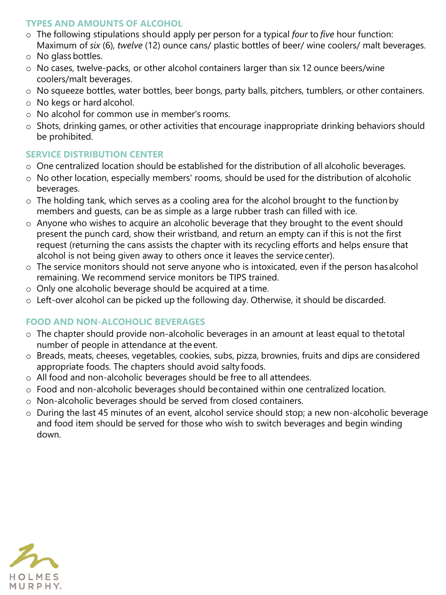#### **TYPES AND AMOUNTS OF ALCOHOL**

- o The following stipulations should apply per person for a typical *four* to *five* hour function: Maximum of *six* (6), *twelve* (12) ounce cans/ plastic bottles of beer/ wine coolers/ malt beverages.
- o No glass bottles.
- o No cases, twelve-packs, or other alcohol containers larger than six 12 ounce beers/wine coolers/malt beverages.
- o No squeeze bottles, water bottles, beer bongs, party balls, pitchers, tumblers, or other containers.
- o No kegs or hard alcohol.
- o No alcohol for common use in member's rooms.
- o Shots, drinking games, or other activities that encourage inappropriate drinking behaviors should be prohibited.

## **SERVICE DISTRIBUTION CENTER**

- o One centralized location should be established for the distribution of all alcoholic beverages.
- o No other location, especially members' rooms, should be used for the distribution of alcoholic beverages.
- o The holding tank, which serves as a cooling area for the alcohol brought to the functionby members and guests, can be as simple as a large rubber trash can filled with ice.
- o Anyone who wishes to acquire an alcoholic beverage that they brought to the event should present the punch card, show their wristband, and return an empty can if this is not the first request (returning the cans assists the chapter with its recycling efforts and helps ensure that alcohol is not being given away to others once it leaves the service center).
- $\circ$  The service monitors should not serve anyone who is intoxicated, even if the person has alcohol remaining. We recommend service monitors be TIPS trained.
- o Only one alcoholic beverage should be acquired at a time.
- o Left-over alcohol can be picked up the following day. Otherwise, it should be discarded.

# **FOOD AND NON-ALCOHOLIC BEVERAGES**

- o The chapter should provide non-alcoholic beverages in an amount at least equal to thetotal number of people in attendance at the event.
- $\circ$  Breads, meats, cheeses, vegetables, cookies, subs, pizza, brownies, fruits and dips are considered appropriate foods. The chapters should avoid salty foods.
- o All food and non-alcoholic beverages should be free to all attendees.
- o Food and non-alcoholic beverages should becontained within one centralized location.
- o Non-alcoholic beverages should be served from closed containers.
- o During the last 45 minutes of an event, alcohol service should stop; a new non-alcoholic beverage and food item should be served for those who wish to switch beverages and begin winding down.